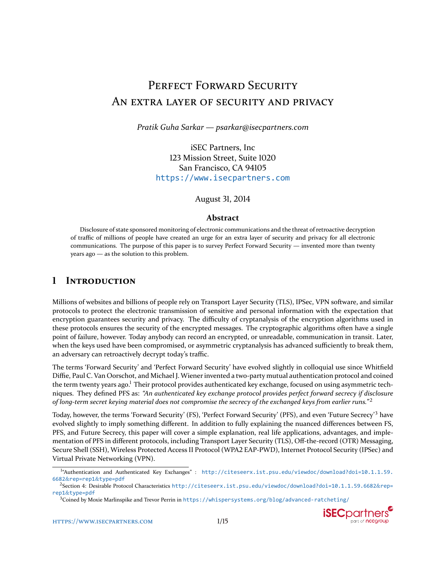# PERFECT FORWARD SECURITY AN EXTRA LAYER OF SECURITY AND PRIVACY

*Pratik Guha Sarkar — psarkar@isecpartners.com*

iSEC Partners, Inc 123 Mission Street, Suite 1020 San Francisco, CA 94105 <https://www.isecpartners.com>

August 31, 2014

#### **Abstract**

Disclosure of state sponsored monitoring of electronic communications and the threat of retroactive decryption of traffic of millions of people have created an urge for an extra layer of security and privacy for all electronic communications. The purpose of this paper is to survey Perfect Forward Security — invented more than twenty years ago — as the solution to this problem.

## *L* INTRODUCTION

Millions of websites and billions of people rely on Transport Layer Security (TLS), IPSec, VPN software, and similar protocols to protect the electronic transmission of sensitive and personal information with the expectation that encryption guarantees security and privacy. The difficulty of cryptanalysis of the encryption algorithms used in these protocols ensures the security of the encrypted messages. The cryptographic algorithms often have a single point of failure, however. Today anybody can record an encrypted, or unreadable, communication in transit. Later, when the keys used have been compromised, or asymmetric cryptanalysis has advanced sufficiently to break them, an adversary can retroactively decrypt today's traffic.

The terms 'Forward Security' and 'Perfect Forward Security' have evolved slightly in colloquial use since Whitfield Diffie, Paul C. Van Oorschot, and Michael J. Wiener invented a two-party mutual authentication protocol and coined the term twenty years ago.<sup>1</sup> Their protocol provides authenticated key exchange, focused on using asymmetric techniques. They defined PFS as: *"An authenticated key exchange protocol provides perfect forward secrecy if disclosure of long-term secret keying material does not compromise the secrecy of the exchanged keys from earlier runs.*"<sup>2</sup>

Today, however, the terms 'Forward Security' (FS), 'Perfect Forward Security' (PFS), and even 'Future Secrecy'<sup>3</sup> have evolved slightly to imply something different. In addition to fully explaining the nuanced differences between FS, PFS, and Future Secrecy, this paper will cover a simple explanation, real life applications, advantages, and implementation of PFS in different protocols, including Transport Layer Security (TLS), Off-the-record (OTR) Messaging, Secure Shell (SSH), Wireless Protected Access II Protocol (WPA2 EAP-PWD), Internet Protocol Security (IPSec) and Virtual Private Networking (VPN).



<span id="page-0-0"></span>ͱ "Authentication and Authenticated Key Exchanges" : [http://citeseerx.ist.psu.edu/viewdoc/download?doi=10.1.1.59.](http://citeseerx.ist.psu.edu/viewdoc/download?doi=10.1.1.59.6682&rep=rep1&type=pdf) 6682&[rep=rep1](http://citeseerx.ist.psu.edu/viewdoc/download?doi=10.1.1.59.6682&rep=rep1&type=pdf)&type=pdf

<span id="page-0-1"></span><sup>&</sup>lt;sup>2</sup>Section 4: Desirable Protocol Characteristics [http://citeseerx.ist.psu.edu/viewdoc/download?doi=10.1.1.59.6682]( http://citeseerx.ist.psu.edu/viewdoc/download?doi=10.1.1.59.6682&rep=rep1&type=pdf)&rep= rep1&[type=pdf]( http://citeseerx.ist.psu.edu/viewdoc/download?doi=10.1.1.59.6682&rep=rep1&type=pdf)

<span id="page-0-2"></span> $3$ Coined by Moxie Marlinspike and Trevor Perrin in <https://whispersystems.org/blog/advanced-ratcheting/>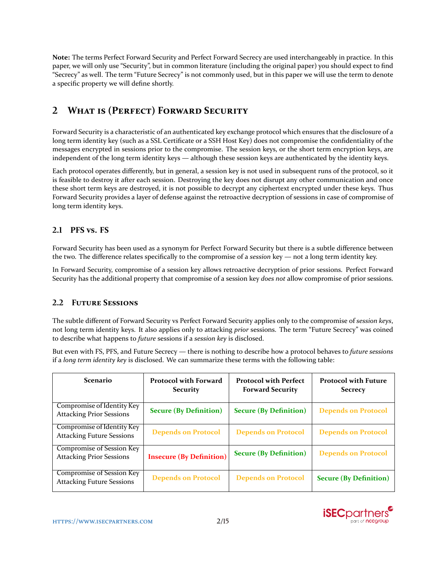**Note:** The terms Perfect Forward Security and Perfect Forward Secrecy are used interchangeably in practice. In this paper, we will only use "Security", but in common literature (including the original paper) you should expect to find "Secrecy" as well. The term "Future Secrecy" is not commonly used, but in this paper we will use the term to denote a specific property we will define shortly.

# **2 WHAT IS (PERFECT) FORWARD SECURITY**

Forward Security is a characteristic of an authenticated key exchange protocol which ensures that the disclosure of a long term identity key (such as a SSL Certificate or a SSH Host Key) does not compromise the confidentiality of the messages encrypted in sessions prior to the compromise. The session keys, or the short term encryption keys, are independent of the long term identity keys — although these session keys are authenticated by the identity keys.

Each protocol operates differently, but in general, a session key is not used in subsequent runs of the protocol, so it is feasible to destroy it after each session. Destroying the key does not disrupt any other communication and once these short term keys are destroyed, it is not possible to decrypt any ciphertext encrypted under these keys. Thus Forward Security provides a layer of defense against the retroactive decryption of sessions in case of compromise of long term identity keys.

## **2.1 PFS vs. FS**

Forward Security has been used as a synonym for Perfect Forward Security but there is a subtle difference between the two. The difference relates specifically to the compromise of a *session* key — not a long term identity key.

In Forward Security, compromise of a session key allows retroactive decryption of prior sessions. Perfect Forward Security has the additional property that compromise of a session key *does not* allow compromise of prior sessions.

## **2.2 FUTURE SESSIONS**

The subtle different of Forward Security vs Perfect Forward Security applies only to the compromise of *session keys*, not long term identity keys. It also applies only to attacking *prior* sessions. The term "Future Secrecy" was coined to describe what happens to *future* sessions if a *session key* is disclosed.

But even with FS, PFS, and Future Secrecy — there is nothing to describe how a protocol behaves to *future sessions* if a *long term identity key* is disclosed. We can summarize these terms with the following table:

| <b>Scenario</b>                                                     | <b>Protocol with Forward</b><br><b>Security</b> | <b>Protocol with Perfect</b><br><b>Forward Security</b> | <b>Protocol with Future</b><br><b>Secrecy</b> |
|---------------------------------------------------------------------|-------------------------------------------------|---------------------------------------------------------|-----------------------------------------------|
| Compromise of Identity Key<br><b>Attacking Prior Sessions</b>       | <b>Secure (By Definition)</b>                   | <b>Secure (By Definition)</b>                           | <b>Depends on Protocol</b>                    |
| Compromise of Identity Key<br><b>Attacking Future Sessions</b>      | <b>Depends on Protocol</b>                      | <b>Depends on Protocol</b>                              | <b>Depends on Protocol</b>                    |
| <b>Compromise of Session Key</b><br><b>Attacking Prior Sessions</b> | <b>Insecure (By Definition)</b>                 | <b>Secure (By Definition)</b>                           | <b>Depends on Protocol</b>                    |
| Compromise of Session Key<br><b>Attacking Future Sessions</b>       | <b>Depends on Protocol</b>                      | <b>Depends on Protocol</b>                              | <b>Secure (By Definition)</b>                 |

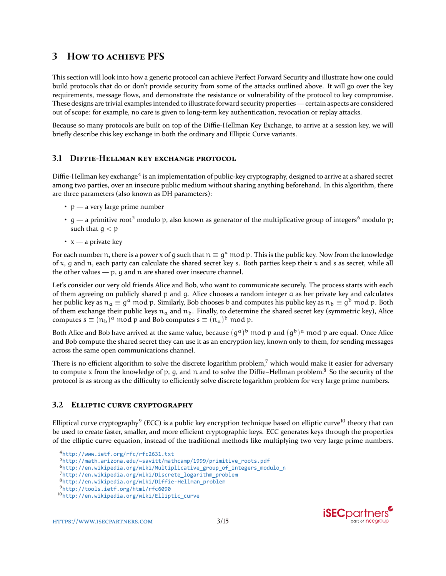## **3** HOW TO ACHIEVE PFS

This section will look into how a generic protocol can achieve Perfect Forward Security and illustrate how one could build protocols that do or don't provide security from some of the attacks outlined above. It will go over the key requirements, message flows, and demonstrate the resistance or vulnerability of the protocol to key compromise. These designs are trivial examples intended to illustrate forward security properties — certain aspects are considered out of scope: for example, no care is given to long-term key authentication, revocation or replay attacks.

Because so many protocols are built on top of the Diffie-Hellman Key Exchange, to arrive at a session key, we will briefly describe this key exchange in both the ordinary and Elliptic Curve variants.

## <span id="page-2-7"></span>**3.1 DIFFIE-HELLMAN KEY EXCHANGE PROTOCOL**

Diffie-Hellman key exchange<sup>4</sup> is an implementation of public-key cryptography, designed to arrive at a shared secret among two parties, over an insecure public medium without sharing anything beforehand. In this algorithm, there are three parameters (also known as DH parameters):

- $\cdot$   $p a$  very large prime number
- g a primitive root<sup>5</sup> modulo p, also known as generator of the multiplicative group of integers<sup>6</sup> modulo p; such that  $q < p$
- $x a$  private key

For each number n, there is a power x of g such that  $n \equiv g^x \mod p$ . This is the public key. Now from the knowledge of x, g and n, each party can calculate the shared secret key s. Both parties keep their x and s as secret, while all the other values  $-$  p, g and n are shared over insecure channel.

Let's consider our very old friends Alice and Bob, who want to communicate securely. The process starts with each of them agreeing on publicly shared p and g. Alice chooses a random integer a as her private key and calculates her public key as  $n_a \equiv g^a \mod p$ . Similarly, Bob chooses b and computes his public key as  $n_b \equiv g^b \mod p$ . Both of them exchange their public keys  $n_a$  and  $n_b$ . Finally, to determine the shared secret key (symmetric key), Alice computes  $s \equiv (n_b)^a \mod p$  and Bob computes  $s \equiv (n_a)^b \mod p$ .

Both Alice and Bob have arrived at the same value, because  $(g^a)^b$  mod p and  $(g^b)^a$  mod p are equal. Once Alice and Bob compute the shared secret they can use it as an encryption key, known only to them, for sending messages across the same open communications channel.

There is no efficient algorithm to solve the discrete logarithm problem, $\lambda$  which would make it easier for adversary to compute x from the knowledge of p, g, and n and to solve the Diffie–Hellman problem.<sup>8</sup> So the security of the protocol is as strong as the difficulty to efficiently solve discrete logarithm problem for very large prime numbers.

## **3.2 ELLIPTIC CURVE CRYPTOGRAPHY**

Elliptical curve cryptography<sup>9</sup> (ECC) is a public key encryption technique based on elliptic curve<sup>10</sup> theory that can be used to create faster, smaller, and more efficient cryptographic keys. ECC generates keys through the properties of the elliptic curve equation, instead of the traditional methods like multiplying two very large prime numbers.



<span id="page-2-0"></span><sup>ʹ</sup><http://www.ietf.org/rfc/rfc2631.txt>

<span id="page-2-1"></span><sup>͵</sup>[http://math.arizona.edu/~savitt/mathcamp/1999/primitive\\_roots.pdf](http://math.arizona.edu/~savitt/mathcamp/1999/primitive_roots.pdf)

<span id="page-2-2"></span><sup>Ͷ</sup>[http://en.wikipedia.org/wiki/Multiplicative\\_group\\_of\\_integers\\_modulo\\_n](http://en.wikipedia.org/wiki/Multiplicative_group_of_integers_modulo_n)

<span id="page-2-3"></span><sup>7</sup>[http://en.wikipedia.org/wiki/Discrete\\_logarithm\\_problem](http://en.wikipedia.org/wiki/Discrete_logarithm_problem)

<span id="page-2-4"></span>[http://en.wikipedia.org/wiki/Diffie-Hellman\\_problem](http://en.wikipedia.org/wiki/Diffie-Hellman_problem)

<span id="page-2-5"></span><http://tools.ietf.org/html/rfc6090>

<span id="page-2-6"></span>ͱͰ[http://en.wikipedia.org/wiki/Elliptic\\_curve](http://en.wikipedia.org/wiki/Elliptic_curve)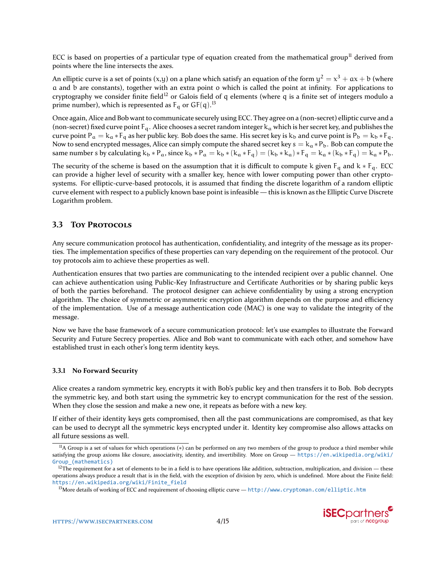ECC is based on properties of a particular type of equation created from the mathematical group<sup>ll</sup> derived from points where the line intersects the axes.

An elliptic curve is a set of points (x,y) on a plane which satisfy an equation of the form  $y^2=x^3+a x+b$  (where a and b are constants), together with an extra point o which is called the point at infinity. For applications to cryptography we consider finite field<sup>12</sup> or Galois field of q elements (where q is a finite set of integers modulo a prime number), which is represented as  $F_q$  or  $GF(q).<sup>B</sup>$ 

Once again, Alice and Bob want to communicate securely using ECC. They agree on a (non-secret) elliptic curve and a (non-secret) fixed curve point  $F_q$ . Alice chooses a secret random integer  $k_q$  which is her secret key, and publishes the curve point P<sub>a</sub> = k<sub>a</sub>  $*F_q$  as her public key. Bob does the same. His secret key is k<sub>b</sub> and curve point is P<sub>b</sub> = k<sub>b</sub>  $*F_q$ . Now to send encrypted messages, Alice can simply compute the shared secret key  $s = k_\alpha * P_b$ . Bob can compute the same number s by calculating  $k_b * P_a$ , since  $k_b * P_a = k_b * (k_a * F_q) = (k_b * k_a) * F_q = k_a * (k_b * F_q) = k_a * P_b$ .

The security of the scheme is based on the assumption that it is difficult to compute k given  $F_q$  and  $k * F_q$ . ECC can provide a higher level of security with a smaller key, hence with lower computing power than other cryptosystems. For elliptic-curve-based protocols, it is assumed that finding the discrete logarithm of a random elliptic curve element with respect to a publicly known base point is infeasible — this is known as the Elliptic Curve Discrete Logarithm problem.

## **3.3** TOY PROTOCOLS

Any secure communication protocol has authentication, confidentiality, and integrity of the message as its properties. The implementation specifics of these properties can vary depending on the requirement of the protocol. Our toy protocols aim to achieve these properties as well.

Authentication ensures that two parties are communicating to the intended recipient over a public channel. One can achieve authentication using Public-Key Infrastructure and Certificate Authorities or by sharing public keys of both the parties beforehand. The protocol designer can achieve confidentiality by using a strong encryption algorithm. The choice of symmetric or asymmetric encryption algorithm depends on the purpose and efficiency of the implementation. Use of a message authentication code (MAC) is one way to validate the integrity of the message.

Now we have the base framework of a secure communication protocol: let's use examples to illustrate the Forward Security and Future Secrecy properties. Alice and Bob want to communicate with each other, and somehow have established trust in each other's long term identity keys.

#### **3.3.1 No Forward Security**

Alice creates a random symmetric key, encrypts it with Bob's public key and then transfers it to Bob. Bob decrypts the symmetric key, and both start using the symmetric key to encrypt communication for the rest of the session. When they close the session and make a new one, it repeats as before with a new key.

If either of their identity keys gets compromised, then all the past communications are compromised, as that key can be used to decrypt all the symmetric keys encrypted under it. Identity key compromise also allows attacks on all future sessions as well.

<span id="page-3-2"></span> $13$ More details of working of ECC and requirement of choosing elliptic curve — <http://www.cryptoman.com/elliptic.htm>



<span id="page-3-0"></span><sup>&</sup>lt;sup>II</sup>A Group is a set of values for which operations (\*) can be performed on any two members of the group to produce a third member while satisfying the group axioms like closure, associativity, identity, and invertibility. More on Group — [https://en.wikipedia.org/wiki/](https://en.wikipedia.org/wiki/Group_(mathematics)) [Group\\_\(mathematics\)](https://en.wikipedia.org/wiki/Group_(mathematics))

<span id="page-3-1"></span> $12$ The requirement for a set of elements to be in a field is to have operations like addition, subtraction, multiplication, and division — these operations always produce a result that is in the field, with the exception of division by zero, which is undefined. More about the Finite field: [https://en.wikipedia.org/wiki/Finite\\_field](https://en.wikipedia.org/wiki/Finite_field)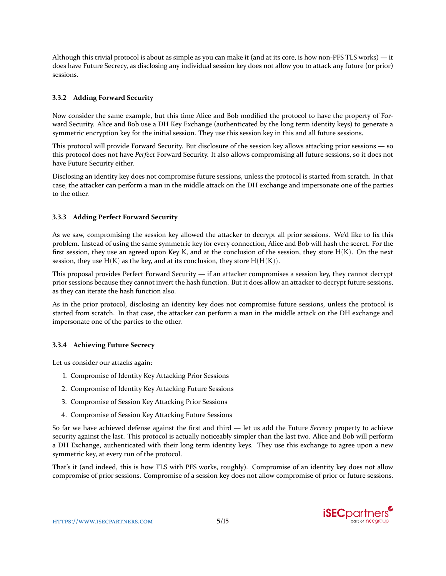Although this trivial protocol is about as simple as you can make it (and at its core, is how non-PFS TLS works) — it does have Future Secrecy, as disclosing any individual session key does not allow you to attack any future (or prior) sessions.

## **3.3.2** Adding Forward Security

Now consider the same example, but this time Alice and Bob modified the protocol to have the property of Forward Security. Alice and Bob use a DH Key Exchange (authenticated by the long term identity keys) to generate a symmetric encryption key for the initial session. They use this session key in this and all future sessions.

This protocol will provide Forward Security. But disclosure of the session key allows attacking prior sessions — so this protocol does not have *Perfect* Forward Security. It also allows compromising all future sessions, so it does not have Future Security either.

Disclosing an identity key does not compromise future sessions, unless the protocol is started from scratch. In that case, the attacker can perform a man in the middle attack on the DH exchange and impersonate one of the parties to the other.

### **3.3.3 Adding Perfect Forward Security**

As we saw, compromising the session key allowed the attacker to decrypt all prior sessions. We'd like to fix this problem. Instead of using the same symmetric key for every connection, Alice and Bob will hash the secret. For the first session, they use an agreed upon Key K, and at the conclusion of the session, they store H(K). On the next session, they use  $H(K)$  as the key, and at its conclusion, they store  $H(H(K))$ .

This proposal provides Perfect Forward Security — if an attacker compromises a session key, they cannot decrypt prior sessions because they cannot invert the hash function. But it does allow an attacker to decrypt future sessions, as they can iterate the hash function also.

As in the prior protocol, disclosing an identity key does not compromise future sessions, unless the protocol is started from scratch. In that case, the attacker can perform a man in the middle attack on the DH exchange and impersonate one of the parties to the other.

### **3.3.4** Achieving Future Secrecy

Let us consider our attacks again:

- 1. Compromise of Identity Key Attacking Prior Sessions
- 2. Compromise of Identity Key Attacking Future Sessions
- 3. Compromise of Session Key Attacking Prior Sessions
- 4. Compromise of Session Key Attacking Future Sessions

So far we have achieved defense against the first and third — let us add the Future *Secrecy* property to achieve security against the last. This protocol is actually noticeably simpler than the last two. Alice and Bob will perform a DH Exchange, authenticated with their long term identity keys. They use this exchange to agree upon a new symmetric key, at every run of the protocol.

That's it (and indeed, this is how TLS with PFS works, roughly). Compromise of an identity key does not allow compromise of prior sessions. Compromise of a session key does not allow compromise of prior or future sessions.

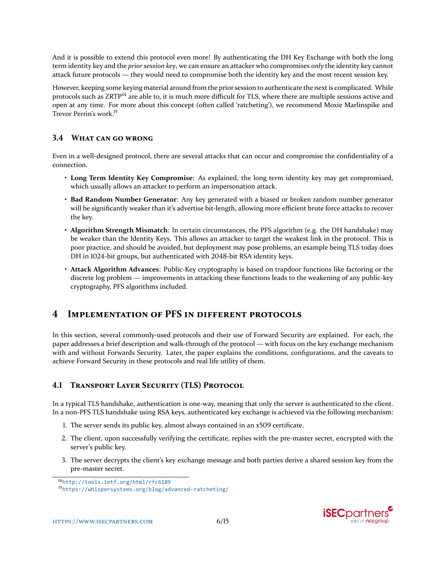And it is possible to extend this protocol even more! By authenticating the DH Key Exchange with both the long term identity key and the *prior session key*, we can ensure an attacker who compromises *only* the identity key cannot attack future protocols — they would need to compromise both the identity key and the most recent session key.

However, keeping some keying material around from the prior session to authenticate the next is complicated. While protocols such as ZRTP<sup>14</sup> are able to, it is much more difficult for TLS, where there are multiple sessions active and open at any time. For more about this concept (often called 'ratcheting'), we recommend Moxie Marlinspike and Trevor Perrin's work.<sup>15</sup>

## **3.4 WHAT CAN GO WRONG**

Even in a well-designed protocol, there are several attacks that can occur and compromise the confidentiality of a connection.

- **Long Term Identity Key Compromise**: As explained, the long term identity key may get compromised, which usually allows an attacker to perform an impersonation attack.
- **Bad Random Number Generator**: Any key generated with a biased or broken random number generator will be significantly weaker than it's advertise bit-length, allowing more efficient brute force attacks to recover the key.
- **Algorithm Strength Mismatch**: In certain circumstances, the PFS algorithm (e.g. the DH handshake) may be weaker than the Identity Keys. This allows an attacker to target the weakest link in the protocol. This is poor practice, and should be avoided, but deployment may pose problems, an example being TLS today does DH in 1024-bit groups, but authenticated with 2048-bit RSA identity keys.
- **Attack Algorithm Advances**: Public-Key cryptography is based on trapdoor functions like factoring or the discrete log problem — improvements in attacking these functions leads to the weakening of any public-key cryptography, PFS algorithms included.

## **4 IMPLEMENTATION OF PFS IN DIFFERENT PROTOCOLS**

In this section, several commonly-used protocols and their use of Forward Security are explained. For each, the paper addresses a brief description and walk-through of the protocol — with focus on the key exchange mechanism with and without Forwards Security. Later, the paper explains the conditions, configurations, and the caveats to achieve Forward Security in these protocols and real life utility of them.

## **4.1 TRANSPORT LAYER SECURITY (TLS) PROTOCOL**

In a typical TLS handshake, authentication is one-way, meaning that only the server is authenticated to the client. In a non-PFS TLS handshake using RSA keys, authenticated key exchange is achieved via the following mechanism:

- 1. The server sends its public key, almost always contained in an x509 certificate.
- 2. The client, upon successfully verifying the certificate, replies with the pre-master secret, encrypted with the server's public key.
- 3. The server decrypts the client's key exchange message and both parties derive a shared session key from the pre-master secret.

<sup>15</sup><https://whispersystems.org/blog/advanced-ratcheting/>





<span id="page-5-1"></span><span id="page-5-0"></span><sup>&</sup>lt;sup>14</sup><http://tools.ietf.org/html/rfc6189>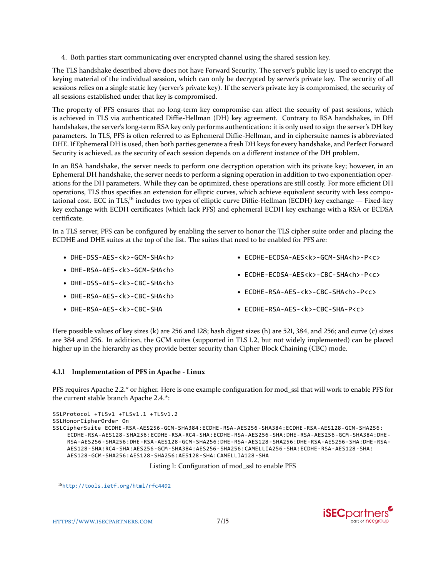ʹ. Both parties start communicating over encrypted channel using the shared session key.

The TLS handshake described above does not have Forward Security. The server's public key is used to encrypt the keying material of the individual session, which can only be decrypted by server's private key. The security of all sessions relies on a single static key (server's private key). If the server's private key is compromised, the security of all sessions established under that key is compromised.

The property of PFS ensures that no long-term key compromise can affect the security of past sessions, which is achieved in TLS via authenticated Diffie-Hellman (DH) key agreement. Contrary to RSA handshakes, in DH handshakes, the server's long-term RSA key only performs authentication: it is only used to sign the server's DH key parameters. In TLS, PFS is often referred to as Ephemeral Diffie-Hellman, and in ciphersuite names is abbreviated DHE. If Ephemeral DH is used, then both parties generate a fresh DH keys for every handshake, and Perfect Forward Security is achieved, as the security of each session depends on a different instance of the DH problem.

In an RSA handshake, the server needs to perform one decryption operation with its private key; however, in an Ephemeral DH handshake, the server needs to perform a signing operation in addition to two exponentiation operations for the DH parameters. While they can be optimized, these operations are still costly. For more efficient DH operations, TLS thus specifies an extension for elliptic curves, which achieve equivalent security with less computational cost. ECC in TLS,<sup>16</sup> includes two types of elliptic curve Diffie-Hellman (ECDH) key exchange — Fixed-key key exchange with ECDH certificates (which lack PFS) and ephemeral ECDH key exchange with a RSA or ECDSA certificate.

In a TLS server, PFS can be configured by enabling the server to honor the TLS cipher suite order and placing the ECDHE and DHE suites at the top of the list. The suites that need to be enabled for PFS are:

• DHE-DSS-AES-<k>-GCM-SHA<h> • DHE-RSA-AES-<k>-GCM-SHA<h> • DHE-DSS-AES-<k>-CBC-SHA<h> • DHE-RSA-AES-<k>-CBC-SHA<h> • DHE-RSA-AES-<k>-CBC-SHA • ECDHE-ECDSA-AES<k>-GCM-SHA<h>-P<c> • ECDHE-ECDSA-AES<k>-CBC-SHA<h>-P<c> • ECDHE-RSA-AES-<k>-CBC-SHA<h>-P<c> • ECDHE-RSA-AES-<k>-CBC-SHA-P<c>

Here possible values of key sizes (k) are 256 and 128; hash digest sizes (h) are 521, 384, and 256; and curve (c) sizes are 384 and 256. In addition, the GCM suites (supported in TLS 1.2, but not widely implemented) can be placed higher up in the hierarchy as they provide better security than Cipher Block Chaining (CBC) mode.

### **4.1.1 Implementation of PFS in Apache - Linux**

PFS requires Apache 2.2.\* or higher. Here is one example configuration for mod ssl that will work to enable PFS for the current stable branch Apache 2.4.\*:

```
SSLProtocol +TLSv1 +TLSv1.1 +TLSv1.2
SSLHonorCipherOrder On
SSLCipherSuite ECDHE-RSA-AES256-GCM-SHA384:ECDHE-RSA-AES256-SHA384:ECDHE-RSA-AES128-GCM-SHA256:
    ECDHE-RSA-AES128-SHA256:ECDHE-RSA-RC4-SHA:ECDHE-RSA-AES256-SHA:DHE-RSA-AES256-GCM-SHA384:DHE-
    RSA-AES256-SHA256:DHE-RSA-AES128-GCM-SHA256:DHE-RSA-AES128-SHA256:DHE-RSA-AES256-SHA:DHE-RSA-
    AES128-SHA:RC4-SHA:AES256-GCM-SHA384:AES256-SHA256:CAMELLIA256-SHA:ECDHE-RSA-AES128-SHA:
    AES128-GCM-SHA256:AES128-SHA256:AES128-SHA:CAMELLIA128-SHA
```
Listing 1: Configuration of mod ssl to enable PFS



<span id="page-6-0"></span><sup>&</sup>lt;sup>16</sup><http://tools.ietf.org/html/rfc4492>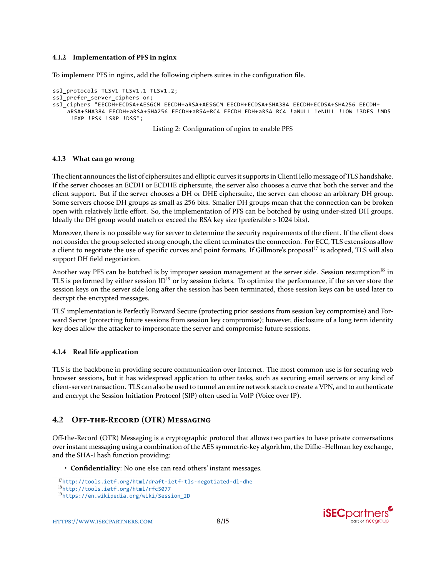#### **4.1.2** Implementation of PFS in nginx

To implement PFS in nginx, add the following ciphers suites in the configuration file.

```
ssl protocols TLSv1 TLSv1.1 TLSv1.2;
ssl prefer server ciphers on;
ssl_ciphers "EECDH+ECDSA+AESGCM EECDH+aRSA+AESGCM EECDH+ECDSA+SHA384 EECDH+ECDSA+SHA256 EECDH+
    aRSA+SHA384 EECDH+aRSA+SHA256 EECDH+aRSA+RC4 EECDH EDH+aRSA RC4 !aNULL !eNULL !LOW !3DES !MD5
     !EXP !PSK !SRP !DSS";
```
Listing 2: Configuration of nginx to enable PFS

#### **4.1.3** What can go wrong

The client announces the list of ciphersuites and elliptic curves it supports in ClientHello message of TLS handshake. If the server chooses an ECDH or ECDHE ciphersuite, the server also chooses a curve that both the server and the client support. But if the server chooses a DH or DHE ciphersuite, the server can choose an arbitrary DH group. Some servers choose DH groups as small as 256 bits. Smaller DH groups mean that the connection can be broken open with relatively little effort. So, the implementation of PFS can be botched by using under-sized DH groups. Ideally the DH group would match or exceed the RSA key size (preferable > 1024 bits).

Moreover, there is no possible way for server to determine the security requirements of the client. If the client does not consider the group selected strong enough, the client terminates the connection. For ECC, TLS extensions allow a client to negotiate the use of specific curves and point formats. If Gillmore's proposal<sup>17</sup> is adopted, TLS will also support DH field negotiation.

Another way PFS can be botched is by improper session management at the server side. Session resumption<sup>18</sup> in TLS is performed by either session ID<sup>19</sup> or by session tickets. To optimize the performance, if the server store the session keys on the server side long after the session has been terminated, those session keys can be used later to decrypt the encrypted messages.

TLS' implementation is Perfectly Forward Secure (protecting prior sessions from session key compromise) and Forward Secret (protecting future sessions from session key compromise); however, disclosure of a long term identity key does allow the attacker to impersonate the server and compromise future sessions.

#### **4.1.4** Real life application

TLS is the backbone in providing secure communication over Internet. The most common use is for securing web browser sessions, but it has widespread application to other tasks, such as securing email servers or any kind of client-server transaction. TLS can also be used to tunnel an entire network stack to create a VPN, and to authenticate and encrypt the Session Initiation Protocol (SIP) often used in VoIP (Voice over IP).

### **4.2 OFF-THE-RECORD (OTR) MESSAGING**

Off-the-Record (OTR) Messaging is a cryptographic protocol that allows two parties to have private conversations over instant messaging using a combination of the AES symmetric-key algorithm, the Diffie–Hellman key exchange, and the SHA-1 hash function providing:

• **Confidentiality**: No one else can read others' instant messages.



<span id="page-7-0"></span><sup>17</sup><http://tools.ietf.org/html/draft-ietf-tls-negotiated-dl-dhe>

<span id="page-7-1"></span>ͱ<http://tools.ietf.org/html/rfc5077>

<span id="page-7-2"></span>ͱ[https://en.wikipedia.org/wiki/Session\\_ID](https://en.wikipedia.org/wiki/Session_ID)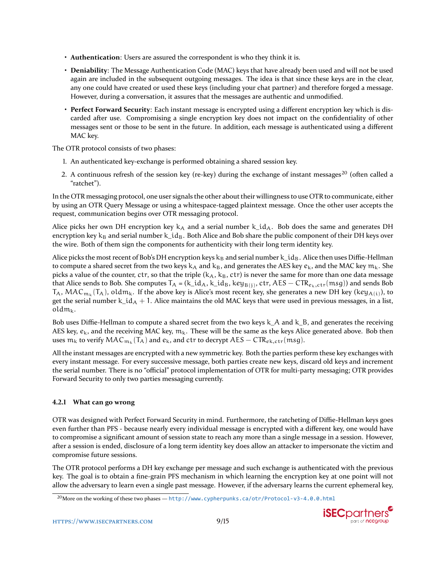- **Authentication**: Users are assured the correspondent is who they think it is.
- **Deniability**: The Message Authentication Code (MAC) keys that have already been used and will not be used again are included in the subsequent outgoing messages. The idea is that since these keys are in the clear, any one could have created or used these keys (including your chat partner) and therefore forged a message. However, during a conversation, it assures that the messages are authentic and unmodified.
- **Perfect Forward Security**: Each instant message is encrypted using a different encryption key which is discarded after use. Compromising a single encryption key does not impact on the confidentiality of other messages sent or those to be sent in the future. In addition, each message is authenticated using a different MAC key.

The OTR protocol consists of two phases:

- 1. An authenticated key-exchange is performed obtaining a shared session key.
- 2. A continuous refresh of the session key (re-key) during the exchange of instant messages<sup>20</sup> (often called a "ratchet").

In the OTR messaging protocol, one user signals the other about their willingness to use OTR to communicate, either by using an OTR Query Message or using a whitespace-tagged plaintext message. Once the other user accepts the request, communication begins over OTR messaging protocol.

Alice picks her own DH encryption key  $k_A$  and a serial number  $k_id_A$ . Bob does the same and generates DH encryption key  $k_B$  and serial number  $k_id_B$ . Both Alice and Bob share the public component of their DH keys over the wire. Both of them sign the components for authenticity with their long term identity key.

Alice picks the most recent of Bob's DH encryption keys  $k_B$  and serial number  $k_id_B$ . Alice then uses Diffie-Hellman to compute a shared secret from the two keys  $k_A$  and  $k_B$ , and generates the AES key  $e_k$ , and the MAC key  $m_k$ . She picks a value of the counter, ctr, so that the triple  $(k_A, k_B, \text{ctr})$  is never the same for more than one data message that Alice sends to Bob. She computes  $T_A$  = (k\_id<sub>A</sub>, k\_id<sub>B</sub>, key<sub>B(j)</sub>, ctr, AES — CTR<sub>ek,ctr</sub>(msg)) and sends Bob  $T_A$ , MAC $_{\sf m_k}$ ( $T_A$ ), old $\sf m_k$ . If the above key is Alice's most recent key, she generates a new DH key (ke ${\sf y}_{\sf A(i)}$ ), to get the serial number  $k_id_A + 1$ . Alice maintains the old MAC keys that were used in previous messages, in a list, old $m_k$ .

Bob uses Diffie-Hellman to compute a shared secret from the two keys  $k \,A$  and k  $B$ , and generates the receiving AES key,  $e_k$ , and the receiving MAC key,  $m_k$ . These will be the same as the keys Alice generated above. Bob then uses  $\mathfrak{m}_\mathsf{k}$  to verify  $\mathsf{MAC}_{\mathfrak{m}_\mathsf{k}}(\mathsf{T}_\mathsf{A})$  and  $e_\mathsf{k}$ , and  $\mathsf{ctr}$  to decrypt  $\mathsf{AES-CTR}_{e\mathsf{k},\mathsf{ctr}}(\mathsf{msg}).$ 

All the instant messages are encrypted with a new symmetric key. Both the parties perform these key exchanges with every instant message. For every successive message, both parties create new keys, discard old keys and increment the serial number. There is no "official" protocol implementation of OTR for multi-party messaging; OTR provides Forward Security to only two parties messaging currently.

### **4.2.1** What can go wrong

OTR was designed with Perfect Forward Security in mind. Furthermore, the ratcheting of Diffie-Hellman keys goes even further than PFS - because nearly every individual message is encrypted with a different key, one would have to compromise a significant amount of session state to reach any more than a single message in a session. However, after a session is ended, disclosure of a long term identity key does allow an attacker to impersonate the victim and compromise future sessions.

The OTR protocol performs a DH key exchange per message and such exchange is authenticated with the previous key. The goal is to obtain a fine-grain PFS mechanism in which learning the encryption key at one point will not allow the adversary to learn even a single past message. However, if the adversary learns the current ephemeral key,

<span id="page-8-0"></span><sup>&</sup>lt;sup>20</sup>More on the working of these two phases — <http://www.cypherpunks.ca/otr/Protocol-v3-4.0.0.html>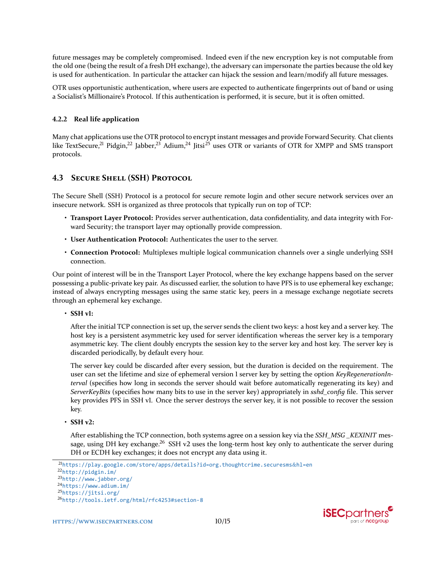future messages may be completely compromised. Indeed even if the new encryption key is not computable from the old one (being the result of a fresh DH exchange), the adversary can impersonate the parties because the old key is used for authentication. In particular the attacker can hijack the session and learn/modify all future messages.

OTR uses opportunistic authentication, where users are expected to authenticate fingerprints out of band or using a Socialist's Millionaire's Protocol. If this authentication is performed, it is secure, but it is often omitted.

### **4.2.2** Real life application

Many chat applications use the OTR protocol to encrypt instant messages and provide Forward Security. Chat clients like TextSecure,<sup>21</sup> Pidgin,<sup>22</sup> Jabber,<sup>23</sup> Adium,<sup>24</sup> Jitsi<sup>25</sup> uses OTR or variants of OTR for XMPP and SMS transport protocols.

## **4.3 SECURE SHELL (SSH) PROTOCOL**

The Secure Shell (SSH) Protocol is a protocol for secure remote login and other secure network services over an insecure network. SSH is organized as three protocols that typically run on top of TCP:

- **Transport Layer Protocol:** Provides server authentication, data confidentiality, and data integrity with Forward Security; the transport layer may optionally provide compression.
- **User Authentication Protocol:** Authenticates the user to the server.
- **Connection Protocol:** Multiplexes multiple logical communication channels over a single underlying SSH connection.

Our point of interest will be in the Transport Layer Protocol, where the key exchange happens based on the server possessing a public-private key pair. As discussed earlier, the solution to have PFS is to use ephemeral key exchange; instead of always encrypting messages using the same static key, peers in a message exchange negotiate secrets through an ephemeral key exchange.

• **SSH** vl:

After the initial TCP connection is set up, the server sends the client two keys: a host key and a server key. The host key is a persistent asymmetric key used for server identification whereas the server key is a temporary asymmetric key. The client doubly encrypts the session key to the server key and host key. The server key is discarded periodically, by default every hour.

The server key could be discarded after every session, but the duration is decided on the requirement. The user can set the lifetime and size of ephemeral version 1 server key by setting the option *KeyRegenerationInterval* (specifies how long in seconds the server should wait before automatically regenerating its key) and *ServerKeyBits* (specifies how many bits to use in the server key) appropriately in *sshd\_config* file. This server key provides PFS in SSH vl. Once the server destroys the server key, it is not possible to recover the session key.

• **SSH** v2:

After establishing the TCP connection, both systems agree on a session key via the *SSH\_MSG \_KEXINIT* message, using DH key exchange.<sup>26</sup> SSH v2 uses the long-term host key only to authenticate the server during DH or ECDH key exchanges; it does not encrypt any data using it.

<span id="page-9-1"></span><sup>22</sup><http://pidgin.im/>



<span id="page-9-0"></span><sup>&</sup>lt;sup>21</sup>[https://play.google.com/store/apps/details?id=org.thoughtcrime.securesms](https://play.google.com/store/apps/details?id=org.thoughtcrime.securesms&hl=en)&hl=en

<span id="page-9-2"></span><sup>23</sup><http://www.jabber.org/>

<span id="page-9-3"></span> $24$ <https://www.adium.im/>

<span id="page-9-4"></span><sup>&</sup>lt;sup>25</sup><https://jitsi.org/>

<span id="page-9-5"></span><sup>&</sup>lt;sup>26</sup><http://tools.ietf.org/html/rfc4253#section-8>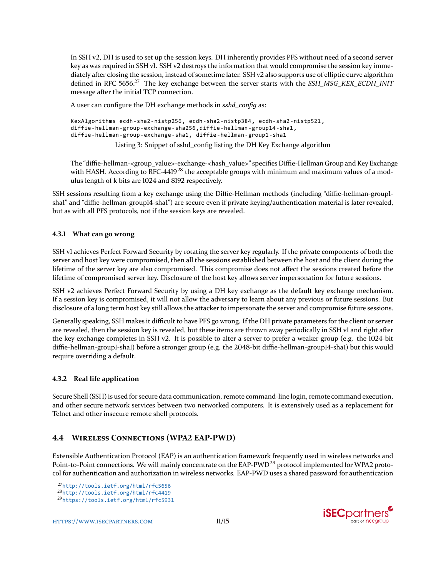In SSH v2, DH is used to set up the session keys. DH inherently provides PFS without need of a second server key as was required in SSH v1. SSH v2 destroys the information that would compromise the session key immediately after closing the session, instead of sometime later. SSH v2 also supports use of elliptic curve algorithm defined in RFC-5656.<sup>27</sup> The key exchange between the server starts with the *SSH\_MSG\_KEX\_ECDH\_INIT* message after the initial TCP connection.

A user can configure the DH exchange methods in *sshd\_config* as:

```
KexAlgorithms ecdh-sha2-nistp256, ecdh-sha2-nistp384, ecdh-sha2-nistp521,
diffie-hellman-group-exchange-sha256,diffie-hellman-group14-sha1,
diffie-hellman-group-exchange-sha1, diffie-hellman-group1-sha1
```
Listing 3: Snippet of sshd\_config listing the DH Key Exchange algorithm

The "diffie-hellman-<group\_value>-exchange-<hash\_value>" specifies Diffie-Hellman Group and Key Exchange with HASH. According to RFC-4419<sup>28</sup> the acceptable groups with minimum and maximum values of a modulus length of k bits are 1024 and 8192 respectively.

SSH sessions resulting from a key exchange using the Diffie-Hellman methods (including "diffie-hellman-grouplshal" and "diffie-hellman-groupl4-shal") are secure even if private keying/authentication material is later revealed, but as with all PFS protocols, not if the session keys are revealed.

### **4.3.1** What can go wrong

SSH v1 achieves Perfect Forward Security by rotating the server key regularly. If the private components of both the server and host key were compromised, then all the sessions established between the host and the client during the lifetime of the server key are also compromised. This compromise does not affect the sessions created before the lifetime of compromised server key. Disclosure of the host key allows server impersonation for future sessions.

SSH v2 achieves Perfect Forward Security by using a DH key exchange as the default key exchange mechanism. If a session key is compromised, it will not allow the adversary to learn about any previous or future sessions. But disclosure of a long term host key still allows the attacker to impersonate the server and compromise future sessions.

Generally speaking, SSH makes it difficult to have PFS go wrong. If the DH private parameters for the client or server are revealed, then the session key is revealed, but these items are thrown away periodically in SSH v1 and right after the key exchange completes in SSH v2. It is possible to alter a server to prefer a weaker group (e.g. the 1024-bit diffie-hellman-groupl-shal) before a stronger group (e.g. the 2048-bit diffie-hellman-groupl4-shal) but this would require overriding a default.

### **4.3.2** Real life application

Secure Shell (SSH) is used for secure data communication, remote command-line login, remote command execution, and other secure network services between two networked computers. It is extensively used as a replacement for Telnet and other insecure remote shell protocols.

## **4.4 WIRELESS CONNECTIONS (WPA2 EAP-PWD)**

Extensible Authentication Protocol (EAP) is an authentication framework frequently used in wireless networks and Point-to-Point connections. We will mainly concentrate on the EAP-PWD<sup>29</sup> protocol implemented for WPA2 protocol for authentication and authorization in wireless networks. EAP-PWD uses a shared password for authentication



<span id="page-10-0"></span><sup>&</sup>lt;sup>27</sup><http://tools.ietf.org/html/rfc5656>

<span id="page-10-1"></span><sup>28</sup><http://tools.ietf.org/html/rfc4419>

<span id="page-10-2"></span>Ͳ<https://tools.ietf.org/html/rfc5931>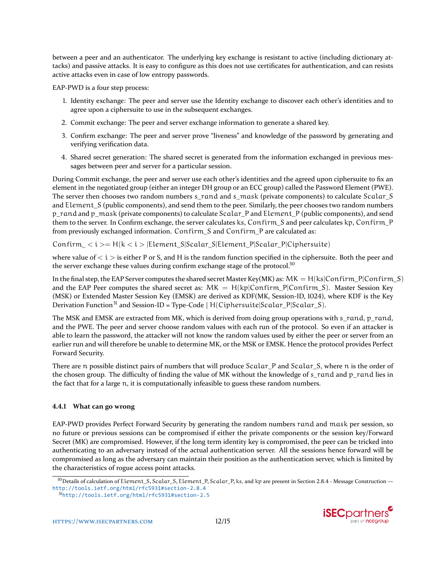between a peer and an authenticator. The underlying key exchange is resistant to active (including dictionary attacks) and passive attacks. It is easy to configure as this does not use certificates for authentication, and can resists active attacks even in case of low entropy passwords.

EAP-PWD is a four step process:

- ͱ. Identity exchange: The peer and server use the Identity exchange to discover each other's identities and to agree upon a ciphersuite to use in the subsequent exchanges.
- 2. Commit exchange: The peer and server exchange information to generate a shared key.
- 3. Confirm exchange: The peer and server prove "liveness" and knowledge of the password by generating and verifying verification data.
- ʹ. Shared secret generation: The shared secret is generated from the information exchanged in previous messages between peer and server for a particular session.

During Commit exchange, the peer and server use each other's identities and the agreed upon ciphersuite to fix an element in the negotiated group (either an integer DH group or an ECC group) called the Password Element (PWE). The server then chooses two random numbers s\_rand and s\_mask (private components) to calculate Scalar\_S and Element S (public components), and send them to the peer. Similarly, the peer chooses two random numbers p\_rand and p\_mask (private components) to calculate Scalar\_P and Element\_P (public components), and send them to the server. In Confirm exchange, the server calculates ks, Confirm\_S and peer calculates kp, Confirm\_P from previously exchanged information. Confirm\_S and Confirm\_P are calculated as:

 $Contin\_ < i > = H(k < i > |Element\_S|Scalar\_S|Element\_P|Scalar\_P|Ciphersuite)$ 

where value of  $\langle i \rangle$  is either P or S, and H is the random function specified in the ciphersuite. Both the peer and the server exchange these values during confirm exchange stage of the protocol.<sup>30</sup>

In the final step, the EAP Server computes the shared secret Master Key(MK) as:  $MK = H(ks|Confirm_P|Confirm_S)$ and the EAP Peer computes the shared secret as:  $MK = H(kp|Confirm_P|Confirm_S)$ . Master Session Key (MSK) or Extended Master Session Key (EMSK) are derived as KDF(MK, Session-ID, 1024), where KDF is the Key Derivation Function<sup>31</sup> and Session-ID = Type-Code | H(Ciphersuite|Scalar\_P|Scalar\_S).

The MSK and EMSK are extracted from MK, which is derived from doing group operations with s\_rand, p\_rand, and the PWE. The peer and server choose random values with each run of the protocol. So even if an attacker is able to learn the password, the attacker will not know the random values used by either the peer or server from an earlier run and will therefore be unable to determine MK, or the MSK or EMSK. Hence the protocol provides Perfect Forward Security.

There are n possible distinct pairs of numbers that will produce Scalar\_P and Scalar\_S, where n is the order of the chosen group. The difficulty of finding the value of MK without the knowledge of s\_rand and p\_rand lies in the fact that for a large n, it is computationally infeasible to guess these random numbers.

### **4.4.1** What can go wrong

EAP-PWD provides Perfect Forward Security by generating the random numbers rand and mask per session, so no future or previous sessions can be compromised if either the private components or the session key/Forward Secret (MK) are compromised. However, if the long term identity key is compromised, the peer can be tricked into authenticating to an adversary instead of the actual authentication server. All the sessions hence forward will be compromised as long as the adversary can maintain their position as the authentication server, which is limited by the characteristics of rogue access point attacks.

<span id="page-11-1"></span> $31$ <http://tools.ietf.org/html/rfc5931#section-2.5>





<span id="page-11-0"></span><sup>&</sup>lt;sup>30</sup> Details of calculation of Element\_S, Scalar\_S, Element\_P, Scalar\_P, ks, and kp are present in Section 2.8.4 - Message Construction <http://tools.ietf.org/html/rfc5931#section-2.8.4>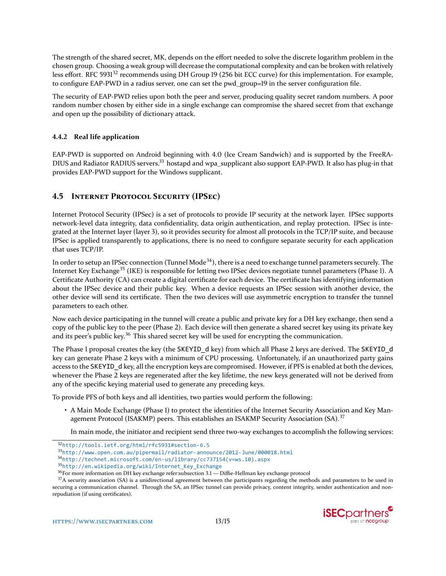The strength of the shared secret, MK, depends on the effort needed to solve the discrete logarithm problem in the chosen group. Choosing a weak group will decrease the computational complexity and can be broken with relatively less effort. RFC 5931<sup>32</sup> recommends using DH Group 19 (256 bit ECC curve) for this implementation. For example, to configure EAP-PWD in a radius server, one can set the pwd\_group=19 in the server configuration file.

The security of EAP-PWD relies upon both the peer and server, producing quality secret random numbers. A poor random number chosen by either side in a single exchange can compromise the shared secret from that exchange and open up the possibility of dictionary attack.

## **4.4.2** Real life application

EAP-PWD is supported on Android beginning with 4.0 (Ice Cream Sandwich) and is supported by the FreeRA-DIUS and Radiator RADIUS servers.<sup>33</sup> hostapd and wpa\_supplicant also support EAP-PWD. It also has plug-in that provides EAP-PWD support for the Windows supplicant.

## **4.5 INTERNET PROTOCOL SECURITY (IPSEC)**

Internet Protocol Security (IPSec) is a set of protocols to provide IP security at the network layer. IPSec supports network-level data integrity, data confidentiality, data origin authentication, and replay protection. IPSec is integrated at the Internet layer (layer 3), so it provides security for almost all protocols in the TCP/IP suite, and because IPSec is applied transparently to applications, there is no need to configure separate security for each application that uses TCP/IP.

In order to setup an IPSec connection (Tunnel Mode<sup>34</sup>), there is a need to exchange tunnel parameters securely. The Internet Key Exchange<sup>35</sup> (IKE) is responsible for letting two IPSec devices negotiate tunnel parameters (Phase 1). A Certificate Authority (CA) can create a digital certificate for each device. The certificate has identifying information about the IPSec device and their public key. When a device requests an IPSec session with another device, the other device will send its certificate. Then the two devices will use asymmetric encryption to transfer the tunnel parameters to each other.

Now each device participating in the tunnel will create a public and private key for a DH key exchange, then send a copy of the public key to the peer (Phase 2). Each device will then generate a shared secret key using its private key and its peer's public key.<sup>36</sup> This shared secret key will be used for encrypting the communication.

The Phase 1 proposal creates the key (the SKEYID d key) from which all Phase 2 keys are derived. The SKEYID d key can generate Phase 2 keys with a minimum of CPU processing. Unfortunately, if an unauthorized party gains access to the SKEYID d key, all the encryption keys are compromised. However, if PFS is enabled at both the devices, whenever the Phase 2 keys are regenerated after the key lifetime, the new keys generated will not be derived from any of the specific keying material used to generate any preceding keys.

To provide PFS of both keys and all identities, two parties would perform the following:

• A Main Mode Exchange (Phase 1) to protect the identities of the Internet Security Association and Key Management Protocol (ISAKMP) peers. This establishes an ISAKMP Security Association (SA).<sup>37</sup>

In main mode, the initiator and recipient send three two-way exchanges to accomplish the following services:

<span id="page-12-2"></span>34[http://technet.microsoft.com/en-us/library/cc737154\(v=ws.10\).aspx](http://technet.microsoft.com/en-us/library/cc737154(v=ws.10).aspx)

 $37A$  security association (SA) is a unidirectional agreement between the participants regarding the methods and parameters to be used in securing a communication channel. Through the SA, an IPSec tunnel can provide privacy, content integrity, sender authentication and nonrepudiation (if using certificates).



<span id="page-12-0"></span><sup>&</sup>lt;sup>32</sup><http://tools.ietf.org/html/rfc5931#section-6.5>

<span id="page-12-1"></span><sup>&</sup>lt;sup>33</sup><http://www.open.com.au/pipermail/radiator-announce/2012-June/000018.html>

<span id="page-12-3"></span><sup>35</sup>[http://en.wikipedia.org/wiki/Internet\\_Key\\_Exchange](http://en.wikipedia.org/wiki/Internet_Key_Exchange)

<span id="page-12-5"></span><span id="page-12-4"></span><sup>&</sup>lt;sup>36</sup> For more information on DH key exchange refer:subsection 3.1 — Diffie-Hellman key exchange protocol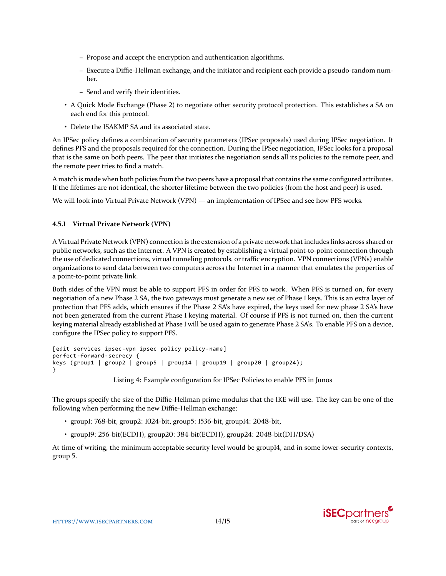- **–** Propose and accept the encryption and authentication algorithms.
- **–** Execute a Diffie-Hellman exchange, and the initiator and recipient each provide a pseudo-random number.
- **–** Send and verify their identities.
- A Quick Mode Exchange (Phase 2) to negotiate other security protocol protection. This establishes a SA on each end for this protocol.
- Delete the ISAKMP SA and its associated state.

An IPSec policy defines a combination of security parameters (IPSec proposals) used during IPSec negotiation. It defines PFS and the proposals required for the connection. During the IPSec negotiation, IPSec looks for a proposal that is the same on both peers. The peer that initiates the negotiation sends all its policies to the remote peer, and the remote peer tries to find a match.

A match is made when both policies from the two peers have a proposal that contains the same configured attributes. If the lifetimes are not identical, the shorter lifetime between the two policies (from the host and peer) is used.

We will look into Virtual Private Network (VPN) — an implementation of IPSec and see how PFS works.

### **4.5.1 Virtual Private Network (VPN)**

A Virtual Private Network (VPN) connection is the extension of a private network that includes links across shared or public networks, such as the Internet. A VPN is created by establishing a virtual point-to-point connection through the use of dedicated connections, virtual tunneling protocols, or traffic encryption. VPN connections (VPNs) enable organizations to send data between two computers across the Internet in a manner that emulates the properties of a point-to-point private link.

Both sides of the VPN must be able to support PFS in order for PFS to work. When PFS is turned on, for every negotiation of a new Phase 2 SA, the two gateways must generate a new set of Phase 1 keys. This is an extra layer of protection that PFS adds, which ensures if the Phase 2 SA's have expired, the keys used for new phase 2 SA's have not been generated from the current Phase 1 keying material. Of course if PFS is not turned on, then the current keying material already established at Phase 1 will be used again to generate Phase 2 SA's. To enable PFS on a device, configure the IPSec policy to support PFS.

```
[edit services ipsec-vpn ipsec policy policy-name]
perfect-forward-secrecy {
.<br>keys (group1 | group2 | group5 | group14 | group19 | group20 | group24);
}
```
Listing 4: Example configuration for IPSec Policies to enable PFS in Junos

The groups specify the size of the Diffie-Hellman prime modulus that the IKE will use. The key can be one of the following when performing the new Diffie-Hellman exchange:

- groupl: 768-bit, group2: 1024-bit, group5: 1536-bit, group14: 2048-bit,
- group19: 256-bit(ECDH), group20: 384-bit(ECDH), group24: 2048-bit(DH/DSA)

At time of writing, the minimum acceptable security level would be group14, and in some lower-security contexts, group 5.